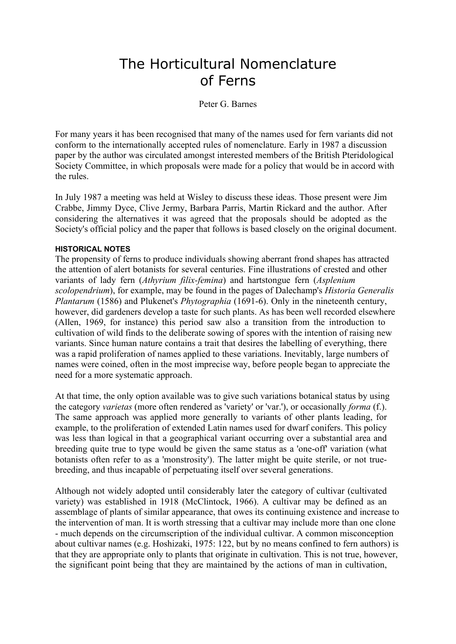# The Horticultural Nomenclature of Ferns

## Peter G. Barnes

For many years it has been recognised that many of the names used for fern variants did not conform to the internationally accepted rules of nomenclature. Early in 1987 a discussion paper by the author was circulated amongst interested members of the British Pteridological Society Committee, in which proposals were made for a policy that would be in accord with the rules.

In July 1987 a meeting was held at Wisley to discuss these ideas. Those present were Jim Crabbe, Jimmy Dyce, Clive Jermy, Barbara Parris, Martin Rickard and the author. After considering the alternatives it was agreed that the proposals should be adopted as the Society's official policy and the paper that follows is based closely on the original document.

#### **HISTORICAL NOTES**

The propensity of ferns to produce individuals showing aberrant frond shapes has attracted the attention of alert botanists for several centuries. Fine illustrations of crested and other variants of lady fern (*Athyrium filix-femina*) and hartstongue fern (*Asplenium scolopendrium*), for example, may be found in the pages of Dalechamp's*Historia Generalis Plantarum* (1586) and Plukenet's *Phytographia* (1691-6). Only in the nineteenth century, however, did gardeners develop a taste for such plants. As has been well recorded elsewhere (Allen, 1969, for instance) this period saw also a transition from the introduction to cultivation of wild finds to the deliberate sowing of spores with the intention of raising new variants. Since human nature contains a trait that desires the labelling of everything, there was a rapid proliferation of names applied to these variations. Inevitably, large numbers of names were coined, often in the most imprecise way, before people began to appreciate the need for a more systematic approach.

At that time, the only option available was to give such variations botanical status by using the category*varietas*(more often rendered as 'variety' or 'var.'), or occasionally*forma*(f.). The same approach was applied more generally to variants of other plants leading, for example, to the proliferation of extended Latin names used for dwarf conifers. This policy was less than logical in that a geographical variant occurring over a substantial area and breeding quite true to type would be given the same status as a 'one-off' variation (what botanists often refer to as a 'monstrosity'). The latter might be quite sterile, or not true breeding, and thus incapable of perpetuating itself over several generations.

Although not widely adopted until considerably later the category of cultivar (cultivated variety) was established in 1918 (McClintock, 1966). A cultivar may be defined as an assemblage of plants of similar appearance, that owes its continuing existence and increase to the intervention of man. It is worth stressing that a cultivar may include more than one clone - much depends on the circumscription of the individual cultivar. A common misconception about cultivar names (e.g. Hoshizaki, 1975: 122, but by no means confined to fern authors) is that they are appropriate only to plants that originate in cultivation. This is not true, however, the significant point being that they are maintained by the actions of man in cultivation,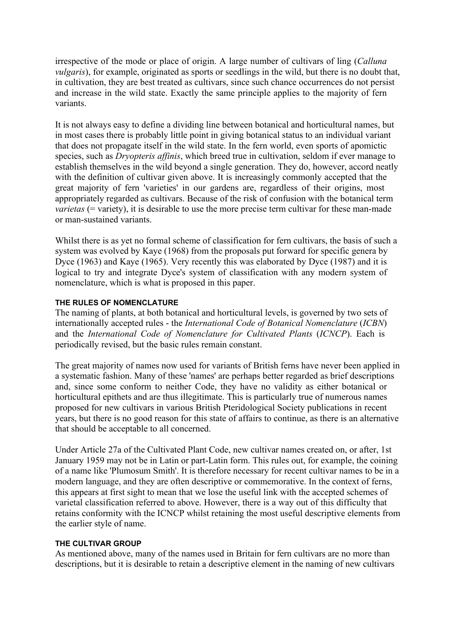irrespective of the mode or place of origin. A large number of cultivars of ling (*Calluna vulgaris*), for example, originated as sports or seedlings in the wild, but there is no doubt that, in cultivation, they are best treated as cultivars, since such chance occurrences do not persist and increase in the wild state. Exactly the same principle applies to the majority of fern variants.

It is not always easy to define a dividing line between botanical and horticultural names, but in most cases there is probably little point in giving botanical status to an individual variant that does not propagate itself in the wild state. In the fern world, even sports of apomictic species, such as*Dryopteris affinis*, which breed true in cultivation, seldom if ever manage to establish themselves in the wild beyond a single generation. They do, however, accord neatly with the definition of cultivar given above. It is increasingly commonly accepted that the great majority of fern 'varieties' in our gardens are, regardless of their origins, most appropriately regarded as cultivars. Because of the risk of confusion with the botanical term *varietas* (= variety), it is desirable to use the more precise term cultivar for these man-made or man-sustained variants.

Whilst there is as yet no formal scheme of classification for fern cultivars, the basis of such a system was evolved by Kaye (1968) from the proposals put forward for specific genera by Dyce (1963) and Kaye (1965). Very recently this was elaborated by Dyce (1987) and it is logical to try and integrate Dyce's system of classification with any modern system of nomenclature, which is what is proposed in this paper.

#### **THE RULES OF NOMENCLATURE**

The naming of plants, at both botanical and horticultural levels, is governed by two sets of internationally accepted rules - the*International Code of Botanical Nomenclature*(*ICBN*) and the*International Code of Nomenclature for Cultivated Plants*(*ICNCP*). Each is periodically revised, but the basic rules remain constant.

The great majority of names now used for variants of British ferns have never been applied in a systematic fashion. Many of these 'names' are perhaps better regarded as brief descriptions and, since some conform to neither Code, they have no validity as either botanical or horticultural epithets and are thus illegitimate. This is particularly true of numerous names proposed for new cultivars in various British Pteridological Society publications in recent years, but there is no good reason for this state of affairs to continue, as there is an alternative that should be acceptable to all concerned.

Under Article 27a of the Cultivated Plant Code, new cultivar names created on, or after, 1st January 1959 may not be in Latin or part-Latin form. This rules out, for example, the coining of a name like 'Plumosum Smith'. It is therefore necessary for recent cultivar names to be in a modern language, and they are often descriptive or commemorative. In the context of ferns, this appears at first sight to mean that we lose the useful link with the accepted schemes of varietal classification referred to above. However, there is a way out of this difficulty that retains conformity with the ICNCP whilst retaining the most useful descriptive elements from the earlier style of name.

#### **THE CULTIVAR GROUP**

As mentioned above, many of the names used in Britain for fern cultivars are no more than descriptions, but it is desirable to retain a descriptive element in the naming of new cultivars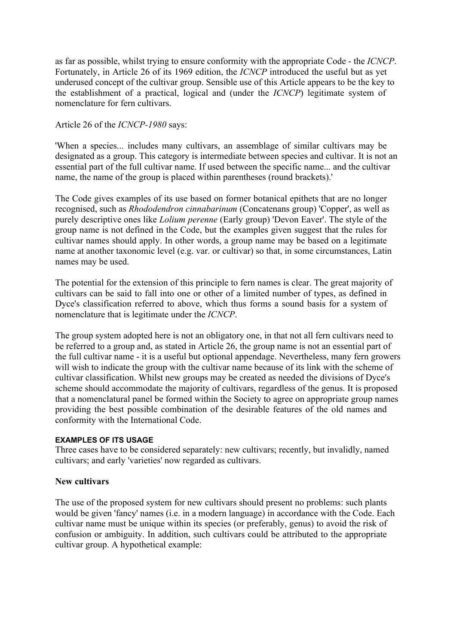as far as possible, whilst trying to ensure conformity with the appropriate Code - the*ICNCP*. Fortunately, in Article 26 of its 1969 edition, the *ICNCP* introduced the useful but as yet underused concept of the cultivar group. Sensible use of this Article appears to be the key to the establishment of a practical, logical and (under the*ICNCP*) legitimate system of nomenclature for fern cultivars.

### Article 26 of the *ICNCP-1980* says:

'When a species... includes many cultivars, an assemblage of similar cultivars may be designated as a group. This category is intermediate between species and cultivar. It is not an essential part of the full cultivar name. If used between the specific name... and the cultivar name, the name of the group is placed within parentheses (round brackets).'

The Code gives examples of its use based on former botanical epithets that are no longer recognised, such as*Rhododendron cinnabarinum*(Concatenans group) 'Copper', as well as purely descriptive ones like*Lolium perenne*(Early group) 'Devon Eaver'. The style of the group name is not defined in the Code, but the examples given suggest that the rules for cultivar names should apply. In other words, a group name may be based on a legitimate name at another taxonomic level (e.g. var. or cultivar) so that, in some circumstances, Latin names may be used.

The potential for the extension of this principle to fern names is clear. The great majority of cultivars can be said to fall into one or other of a limited number of types, as defined in Dyce's classification referred to above, which thus forms a sound basis for a system of nomenclature that is legitimate under the*ICNCP*.

The group system adopted here is not an obligatory one, in that not all fern cultivars need to be referred to a group and, as stated in Article 26, the group name is not an essential part of the full cultivar name - it is a useful but optional appendage. Nevertheless, many fern growers will wish to indicate the group with the cultivar name because of its link with the scheme of cultivar classification. Whilst new groups may be created as needed the divisions of Dyce's scheme should accommodate the majority of cultivars, regardless of the genus. It is proposed that a nomenclatural panel be formed within the Society to agree on appropriate group names providing the best possible combination of the desirable features of the old names and conformity with the International Code.

#### **EXAMPLES OF ITS USAGE**

Three cases have to be considered separately: new cultivars; recently, but invalidly, named cultivars; and early 'varieties' now regarded as cultivars.

# **New cultivars**

The use of the proposed system for new cultivars should present no problems: such plants would be given 'fancy' names (i.e. in a modern language) in accordance with the Code. Each cultivar name must be unique within its species (or preferably, genus) to avoid the risk of confusion or ambiguity. In addition, such cultivars could be attributed to the appropriate cultivar group. A hypothetical example: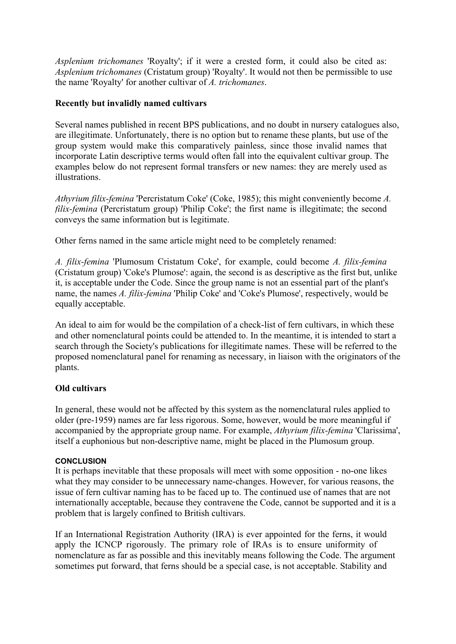*Asplenium trichomanes*'Royalty'; if it were a crested form, it could also be cited as: *Asplenium trichomanes*(Cristatum group) 'Royalty'. It would not then be permissible to use the name 'Royalty' for another cultivar of*A. trichomanes*.

### **Recently but invalidly named cultivars**

Several names published in recent BPS publications, and no doubt in nursery catalogues also, are illegitimate. Unfortunately, there is no option but to rename these plants, but use of the group system would make this comparatively painless, since those invalid names that incorporate Latin descriptive terms would often fall into the equivalent cultivar group. The examples below do not represent formal transfers or new names: they are merely used as illustrations.

*Athyrium filix-femina*'Percristatum Coke' (Coke, 1985); this might conveniently become*A. filix-femina* (Percristatum group) 'Philip Coke'; the first name is illegitimate; the second conveys the same information but is legitimate.

Other ferns named in the same article might need to be completely renamed:

*A. filix-femina* 'Plumosum Cristatum Coke', for example, could become*A. filix-femina* (Cristatum group) 'Coke's Plumose': again, the second is as descriptive as the first but, unlike it, is acceptable under the Code. Since the group name is not an essential part of the plant's name, the names*A. filix-femina* 'Philip Coke' and 'Coke's Plumose', respectively, would be equally acceptable.

An ideal to aim for would be the compilation of a check-list of fern cultivars, in which these and other nomenclatural points could be attended to. In the meantime, it is intended to start a search through the Society's publications for illegitimate names. These will be referred to the proposed nomenclatural panel for renaming as necessary, in liaison with the originators of the plants.

#### **Old cultivars**

In general, these would not be affected by this system as the nomenclatural rules applied to older (pre-1959) names are far less rigorous. Some, however, would be more meaningful if accompanied by the appropriate group name. For example,*Athyrium filix-femina*'Clarissima', itself a euphonious but non-descriptive name, might be placed in the Plumosum group.

#### **CONCLUSION**

It is perhaps inevitable that these proposals will meet with some opposition - no-one likes what they may consider to be unnecessary name-changes. However, for various reasons, the issue of fern cultivar naming has to be faced up to. The continued use of names that are not internationally acceptable, because they contravene the Code, cannot be supported and it is a problem that is largely confined to British cultivars.

If an International Registration Authority (IRA) is ever appointed for the ferns, it would apply the ICNCP rigorously. The primary role of IRAs is to ensure uniformity of nomenclature as far as possible and this inevitably means following the Code. The argument sometimes put forward, that ferns should be a special case, is not acceptable. Stability and